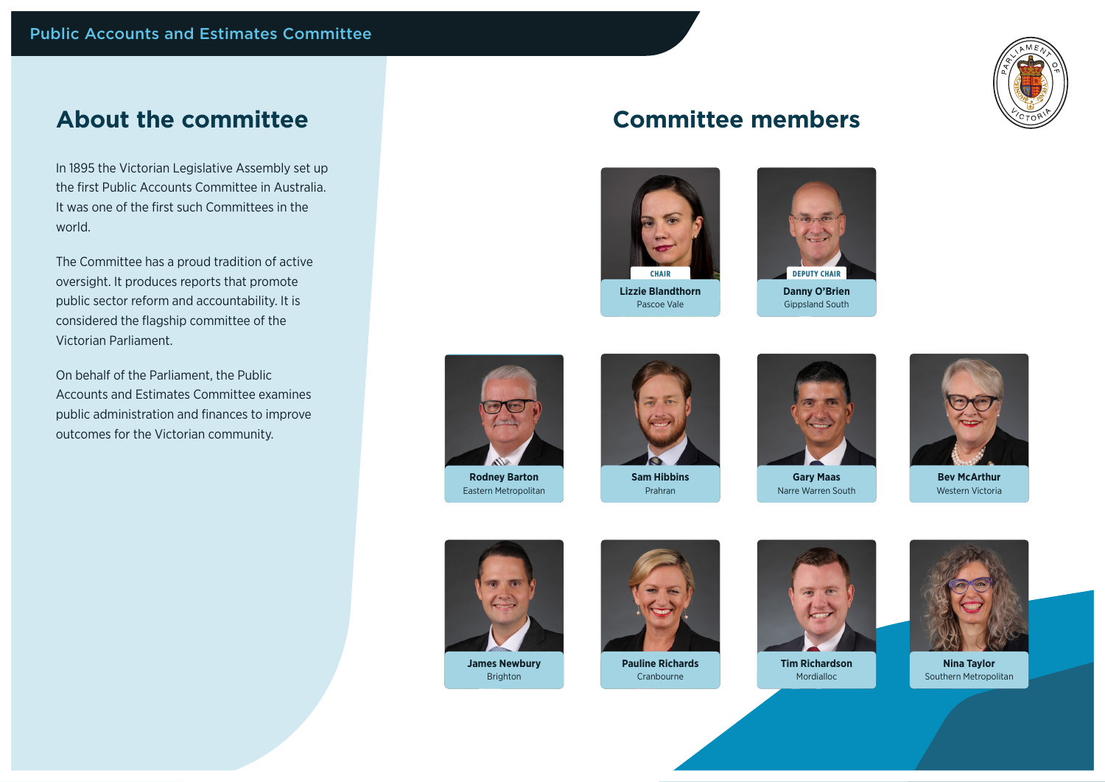

## **About the committee**

In 1895 the Victorian Legislative Assembly set up the first Public Accounts Committee in Australia. It was one of the first such Committees in the world.

The Committee has a proud tradition of active oversight. It produces reports that promote public sector reform and accountability. It is considered the flagship committee of the Victorian Parliament.

On behalf of the Parliament, the Public Accounts and Estimates Committee examines public administration and finances to improve outcomes for the Victorian community.

## **Committee members**



**Lizzie Blandthorn** Pascoe Vale





**Rodney Barton** Eastern Metropolitan



**Sam Hibbins** Prahran



**Gary Maas** Narre Warren South



**Bev McArthur** Western Victoria



**James Newbury** Brighton



**Pauline Richards** Cranbourne



Mordialloc



**Nina Taylor** Southern Metropolitan